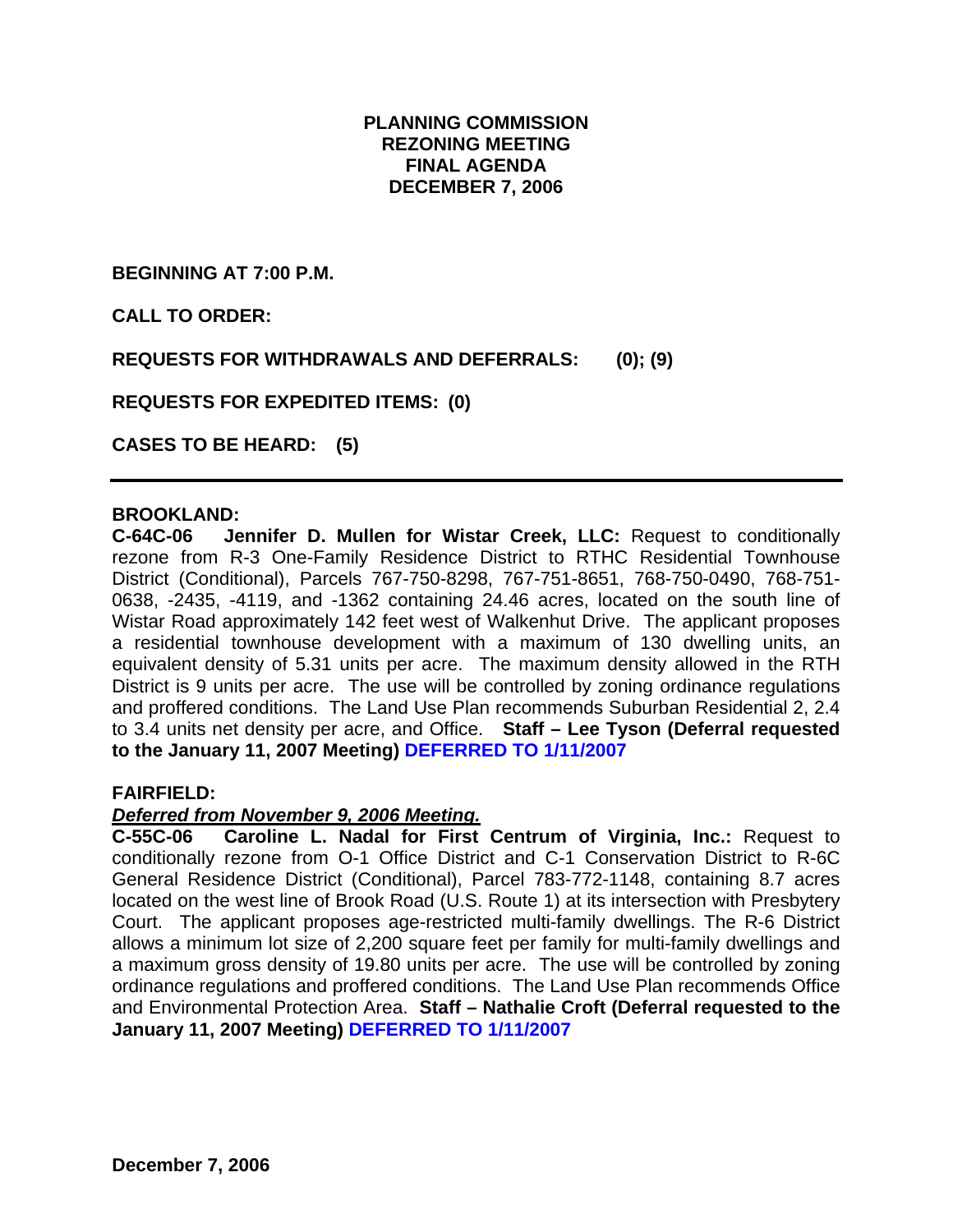### **PLANNING COMMISSION REZONING MEETING FINAL AGENDA DECEMBER 7, 2006**

**BEGINNING AT 7:00 P.M.** 

**CALL TO ORDER:** 

**REQUESTS FOR WITHDRAWALS AND DEFERRALS: (0); (9)** 

**REQUESTS FOR EXPEDITED ITEMS: (0)** 

**CASES TO BE HEARD: (5)** 

### **BROOKLAND:**

**C-64C-06 Jennifer D. Mullen for Wistar Creek, LLC:** Request to conditionally rezone from R-3 One-Family Residence District to RTHC Residential Townhouse District (Conditional), Parcels 767-750-8298, 767-751-8651, 768-750-0490, 768-751- 0638, -2435, -4119, and -1362 containing 24.46 acres, located on the south line of Wistar Road approximately 142 feet west of Walkenhut Drive. The applicant proposes a residential townhouse development with a maximum of 130 dwelling units, an equivalent density of 5.31 units per acre. The maximum density allowed in the RTH District is 9 units per acre. The use will be controlled by zoning ordinance regulations and proffered conditions. The Land Use Plan recommends Suburban Residential 2, 2.4 to 3.4 units net density per acre, and Office. **Staff – Lee Tyson (Deferral requested to the January 11, 2007 Meeting) DEFERRED TO 1/11/2007**

#### **FAIRFIELD:**

#### *Deferred from November 9, 2006 Meeting.*

**C-55C-06 Caroline L. Nadal for First Centrum of Virginia, Inc.:** Request to conditionally rezone from O-1 Office District and C-1 Conservation District to R-6C General Residence District (Conditional), Parcel 783-772-1148, containing 8.7 acres located on the west line of Brook Road (U.S. Route 1) at its intersection with Presbytery Court. The applicant proposes age-restricted multi-family dwellings. The R-6 District allows a minimum lot size of 2,200 square feet per family for multi-family dwellings and a maximum gross density of 19.80 units per acre. The use will be controlled by zoning ordinance regulations and proffered conditions. The Land Use Plan recommends Office and Environmental Protection Area. **Staff – Nathalie Croft (Deferral requested to the January 11, 2007 Meeting) DEFERRED TO 1/11/2007**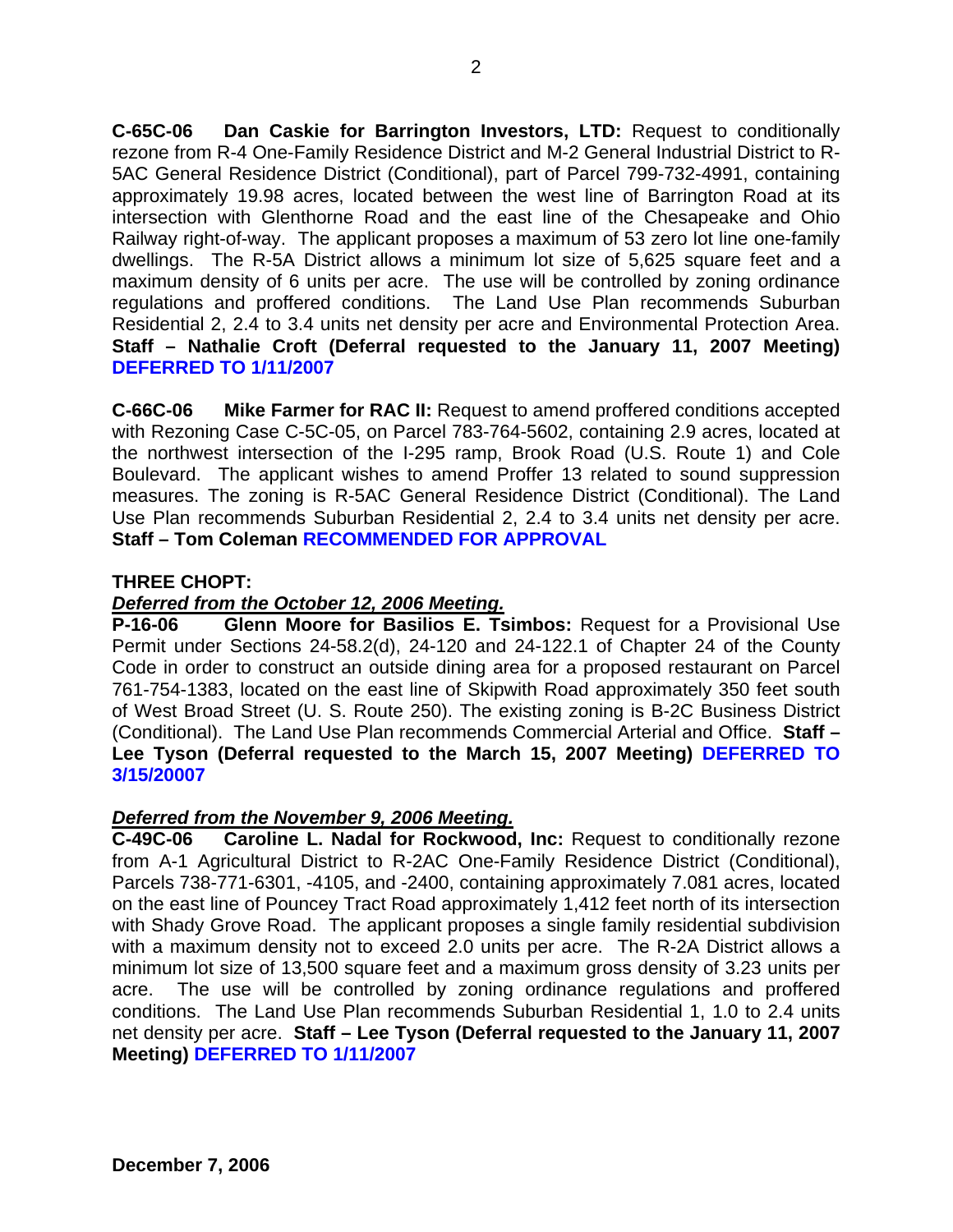**C-65C-06 Dan Caskie for Barrington Investors, LTD:** Request to conditionally rezone from R-4 One-Family Residence District and M-2 General Industrial District to R-5AC General Residence District (Conditional), part of Parcel 799-732-4991, containing approximately 19.98 acres, located between the west line of Barrington Road at its intersection with Glenthorne Road and the east line of the Chesapeake and Ohio Railway right-of-way. The applicant proposes a maximum of 53 zero lot line one-family dwellings. The R-5A District allows a minimum lot size of 5,625 square feet and a maximum density of 6 units per acre. The use will be controlled by zoning ordinance regulations and proffered conditions. The Land Use Plan recommends Suburban Residential 2, 2.4 to 3.4 units net density per acre and Environmental Protection Area. **Staff – Nathalie Croft (Deferral requested to the January 11, 2007 Meeting) DEFERRED TO 1/11/2007**

**C-66C-06 Mike Farmer for RAC II:** Request to amend proffered conditions accepted with Rezoning Case C-5C-05, on Parcel 783-764-5602, containing 2.9 acres, located at the northwest intersection of the I-295 ramp, Brook Road (U.S. Route 1) and Cole Boulevard. The applicant wishes to amend Proffer 13 related to sound suppression measures. The zoning is R-5AC General Residence District (Conditional). The Land Use Plan recommends Suburban Residential 2, 2.4 to 3.4 units net density per acre. **Staff – Tom Coleman RECOMMENDED FOR APPROVAL**

## **THREE CHOPT:**

## *Deferred from the October 12, 2006 Meeting.*

**P-16-06 Glenn Moore for Basilios E. Tsimbos:** Request for a Provisional Use Permit under Sections 24-58.2(d), 24-120 and 24-122.1 of Chapter 24 of the County Code in order to construct an outside dining area for a proposed restaurant on Parcel 761-754-1383, located on the east line of Skipwith Road approximately 350 feet south of West Broad Street (U. S. Route 250). The existing zoning is B-2C Business District (Conditional). The Land Use Plan recommends Commercial Arterial and Office. **Staff – Lee Tyson (Deferral requested to the March 15, 2007 Meeting) DEFERRED TO 3/15/20007**

## *Deferred from the November 9, 2006 Meeting.*

**C-49C-06 Caroline L. Nadal for Rockwood, Inc:** Request to conditionally rezone from A-1 Agricultural District to R-2AC One-Family Residence District (Conditional), Parcels 738-771-6301, -4105, and -2400, containing approximately 7.081 acres, located on the east line of Pouncey Tract Road approximately 1,412 feet north of its intersection with Shady Grove Road. The applicant proposes a single family residential subdivision with a maximum density not to exceed 2.0 units per acre. The R-2A District allows a minimum lot size of 13,500 square feet and a maximum gross density of 3.23 units per acre. The use will be controlled by zoning ordinance regulations and proffered conditions. The Land Use Plan recommends Suburban Residential 1, 1.0 to 2.4 units net density per acre. **Staff – Lee Tyson (Deferral requested to the January 11, 2007 Meeting) DEFERRED TO 1/11/2007**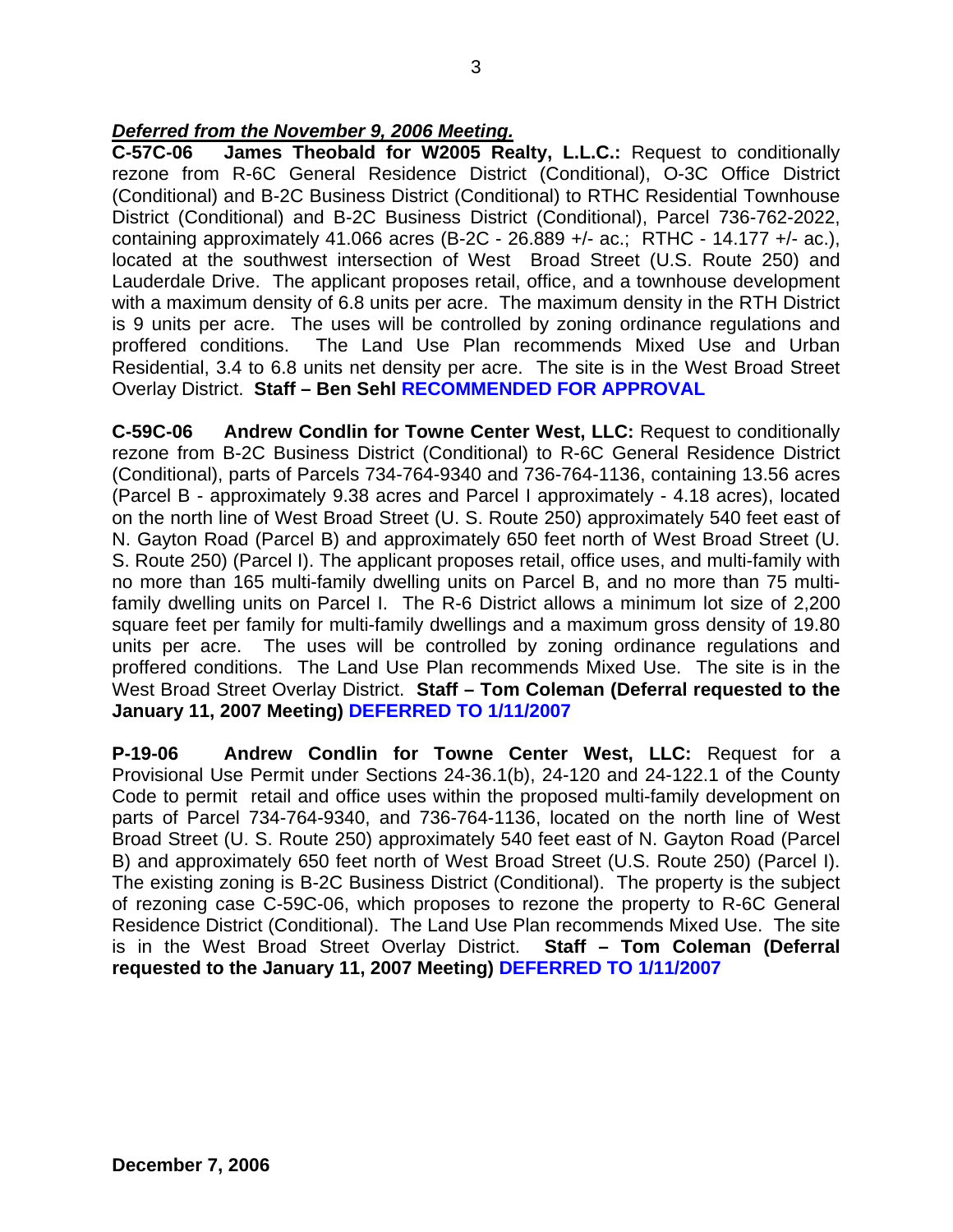### *Deferred from the November 9, 2006 Meeting.*

**C-57C-06 James Theobald for W2005 Realty, L.L.C.:** Request to conditionally rezone from R-6C General Residence District (Conditional), O-3C Office District (Conditional) and B-2C Business District (Conditional) to RTHC Residential Townhouse District (Conditional) and B-2C Business District (Conditional), Parcel 736-762-2022, containing approximately 41.066 acres (B-2C - 26.889 +/- ac.; RTHC - 14.177 +/- ac.), located at the southwest intersection of West Broad Street (U.S. Route 250) and Lauderdale Drive. The applicant proposes retail, office, and a townhouse development with a maximum density of 6.8 units per acre. The maximum density in the RTH District is 9 units per acre. The uses will be controlled by zoning ordinance regulations and proffered conditions. The Land Use Plan recommends Mixed Use and Urban Residential, 3.4 to 6.8 units net density per acre. The site is in the West Broad Street Overlay District. **Staff – Ben Sehl RECOMMENDED FOR APPROVAL** 

**C-59C-06 Andrew Condlin for Towne Center West, LLC:** Request to conditionally rezone from B-2C Business District (Conditional) to R-6C General Residence District (Conditional), parts of Parcels 734-764-9340 and 736-764-1136, containing 13.56 acres (Parcel B - approximately 9.38 acres and Parcel I approximately - 4.18 acres), located on the north line of West Broad Street (U. S. Route 250) approximately 540 feet east of N. Gayton Road (Parcel B) and approximately 650 feet north of West Broad Street (U. S. Route 250) (Parcel I). The applicant proposes retail, office uses, and multi-family with no more than 165 multi-family dwelling units on Parcel B, and no more than 75 multifamily dwelling units on Parcel I. The R-6 District allows a minimum lot size of 2,200 square feet per family for multi-family dwellings and a maximum gross density of 19.80 units per acre. The uses will be controlled by zoning ordinance regulations and proffered conditions. The Land Use Plan recommends Mixed Use. The site is in the West Broad Street Overlay District. **Staff – Tom Coleman (Deferral requested to the January 11, 2007 Meeting) DEFERRED TO 1/11/2007**

**P-19-06 Andrew Condlin for Towne Center West, LLC:** Request for a Provisional Use Permit under Sections 24-36.1(b), 24-120 and 24-122.1 of the County Code to permit retail and office uses within the proposed multi-family development on parts of Parcel 734-764-9340, and 736-764-1136, located on the north line of West Broad Street (U. S. Route 250) approximately 540 feet east of N. Gayton Road (Parcel B) and approximately 650 feet north of West Broad Street (U.S. Route 250) (Parcel I). The existing zoning is B-2C Business District (Conditional). The property is the subject of rezoning case C-59C-06, which proposes to rezone the property to R-6C General Residence District (Conditional). The Land Use Plan recommends Mixed Use. The site is in the West Broad Street Overlay District. **Staff – Tom Coleman (Deferral requested to the January 11, 2007 Meeting) DEFERRED TO 1/11/2007**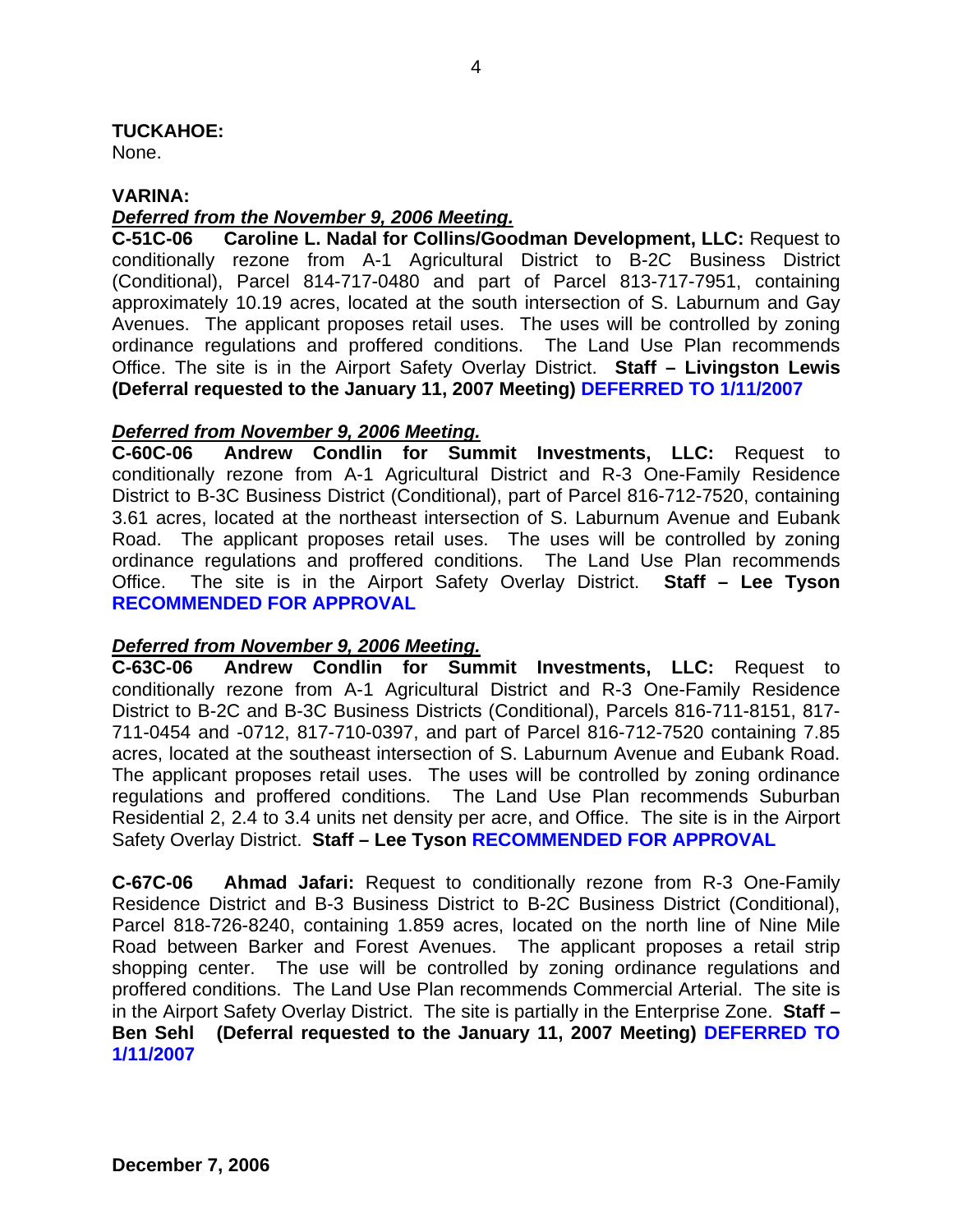**TUCKAHOE:** 

None.

### **VARINA:**

### *Deferred from the November 9, 2006 Meeting.*

**C-51C-06 Caroline L. Nadal for Collins/Goodman Development, LLC:** Request to conditionally rezone from A-1 Agricultural District to B-2C Business District (Conditional), Parcel 814-717-0480 and part of Parcel 813-717-7951, containing approximately 10.19 acres, located at the south intersection of S. Laburnum and Gay Avenues. The applicant proposes retail uses. The uses will be controlled by zoning ordinance regulations and proffered conditions. The Land Use Plan recommends Office. The site is in the Airport Safety Overlay District. **Staff – Livingston Lewis (Deferral requested to the January 11, 2007 Meeting) DEFERRED TO 1/11/2007**

### *Deferred from November 9, 2006 Meeting.*

**C-60C-06 Andrew Condlin for Summit Investments, LLC:** Request to conditionally rezone from A-1 Agricultural District and R-3 One-Family Residence District to B-3C Business District (Conditional), part of Parcel 816-712-7520, containing 3.61 acres, located at the northeast intersection of S. Laburnum Avenue and Eubank Road. The applicant proposes retail uses. The uses will be controlled by zoning ordinance regulations and proffered conditions. The Land Use Plan recommends Office. The site is in the Airport Safety Overlay District. **Staff – Lee Tyson RECOMMENDED FOR APPROVAL**

## *Deferred from November 9, 2006 Meeting.*

**C-63C-06 Andrew Condlin for Summit Investments, LLC:** Request to conditionally rezone from A-1 Agricultural District and R-3 One-Family Residence District to B-2C and B-3C Business Districts (Conditional), Parcels 816-711-8151, 817- 711-0454 and -0712, 817-710-0397, and part of Parcel 816-712-7520 containing 7.85 acres, located at the southeast intersection of S. Laburnum Avenue and Eubank Road. The applicant proposes retail uses. The uses will be controlled by zoning ordinance regulations and proffered conditions. The Land Use Plan recommends Suburban Residential 2, 2.4 to 3.4 units net density per acre, and Office. The site is in the Airport Safety Overlay District. **Staff – Lee Tyson RECOMMENDED FOR APPROVAL** 

**C-67C-06 Ahmad Jafari:** Request to conditionally rezone from R-3 One-Family Residence District and B-3 Business District to B-2C Business District (Conditional), Parcel 818-726-8240, containing 1.859 acres, located on the north line of Nine Mile Road between Barker and Forest Avenues. The applicant proposes a retail strip shopping center. The use will be controlled by zoning ordinance regulations and proffered conditions. The Land Use Plan recommends Commercial Arterial. The site is in the Airport Safety Overlay District. The site is partially in the Enterprise Zone. **Staff – Ben Sehl (Deferral requested to the January 11, 2007 Meeting) DEFERRED TO 1/11/2007**